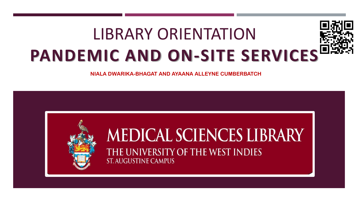# LIBRARY ORIENTATION **PANDEMIC AND ON-SITE SERVICES**

**NIALA DWARIKA-BHAGAT AND AYAANA ALLEYNE CUMBERBATCH**

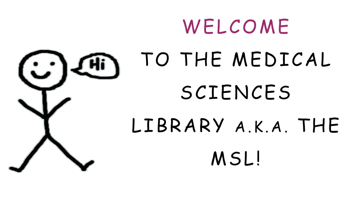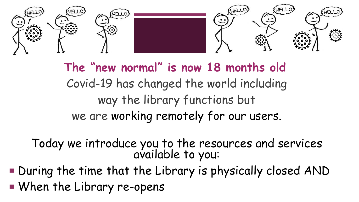

**The "new normal" is now 18 months old** Covid-19 has changed the world including way the library functions but we are working remotely for our users.

Today we introduce you to the resources and services available to you:

During the time that the Library is physically closed AND

When the Library re-opens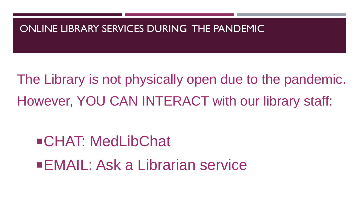

The Library is not physically open due to the pandemic. However, YOU CAN INTERACT with our library staff:

# CHAT: MedLibChat

EMAIL: Ask a Librarian service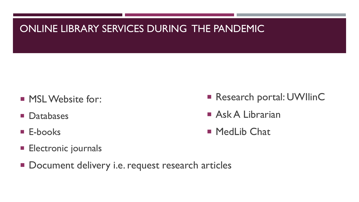## ONLINE LIBRARY SERVICES DURING THE PANDEMIC

- **MSL Website for:**
- **Databases**
- **E-books**
- **Electronic journals**
- Document delivery i.e. request research articles
- Research portal: UWIlinC
- **Ask A Librarian**
- MedLib Chat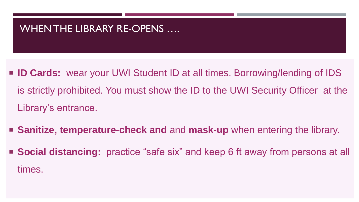- **ID Cards:** wear your UWI Student ID at all times. Borrowing/lending of IDS is strictly prohibited. You must show the ID to the UWI Security Officer at the Library's entrance.
- **Sanitize, temperature-check and** and **mask-up** when entering the library. ■ **Social distancing:** practice "safe six" and keep 6 ft away from persons at all times.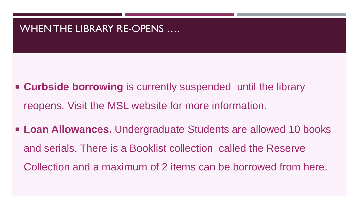- **Example 3 Curbside borrowing** is currently suspended until the library reopens. Visit the MSL website for more information.
- Loan Allowances. Undergraduate Students are allowed 10 books and serials. There is a Booklist collection called the Reserve Collection and a maximum of 2 items can be borrowed from here.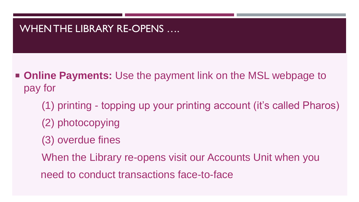- **Online Payments:** Use the payment link on the MSL webpage to pay for
	- (1) printing topping up your printing account (it's called Pharos)
	- (2) photocopying
	- (3) overdue fines
	- When the Library re-opens visit our Accounts Unit when you
	- need to conduct transactions face-to-face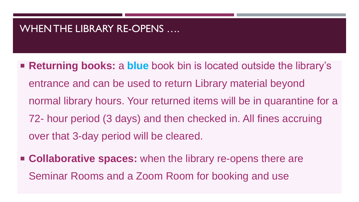- **Returning books: a blue** book bin is located outside the library's entrance and can be used to return Library material beyond normal library hours. Your returned items will be in quarantine for a 72- hour period (3 days) and then checked in. All fines accruing over that 3-day period will be cleared.
- **Collaborative spaces:** when the library re-opens there are Seminar Rooms and a Zoom Room for booking and use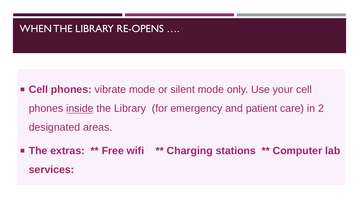■ **Cell phones:** vibrate mode or silent mode only. Use your cell phones inside the Library (for emergency and patient care) in 2 designated areas.

 **The extras: \*\* Free wifi \*\* Charging stations \*\* Computer lab services:**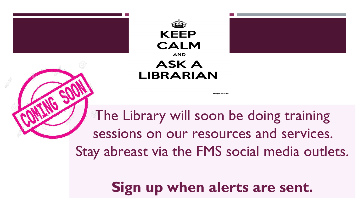



## **ASK A LIBRARIAN**

The Library will soon be doing training sessions on our resources and services. Stay abreast via the FMS social media outlets.

eep-calm.ne

# **Sign up when alerts are sent.**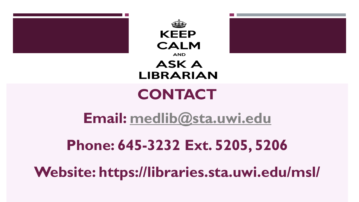





# **CONTACT**

**Email: [medlib@sta.uwi.edu](mailto:medlib@sta.uwi.edu)**

# **Phone: 645-3232 Ext. 5205, 5206**

**Website: https://libraries.sta.uwi.edu/msl/**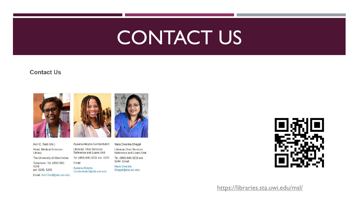# CONTACT US

#### **Contact Us**





Ayaana Alleyne-Cumberbatch Librarian, User Services Reference and Loans Unit Tel: (868)-645-3232 ext. 5220 Email: Ayaana.Alleyne-Cumberbatch@sta.uwi.edu

Niala Dwarika-Bhagat

Librarian, User Services Reference and Loans Unit

Tel: (868)-645-3232 ext. 5244 Email:

Niala.Dwarika-Bhagat@sta.uwi.edu

<https://libraries.sta.uwi.edu/msl/>